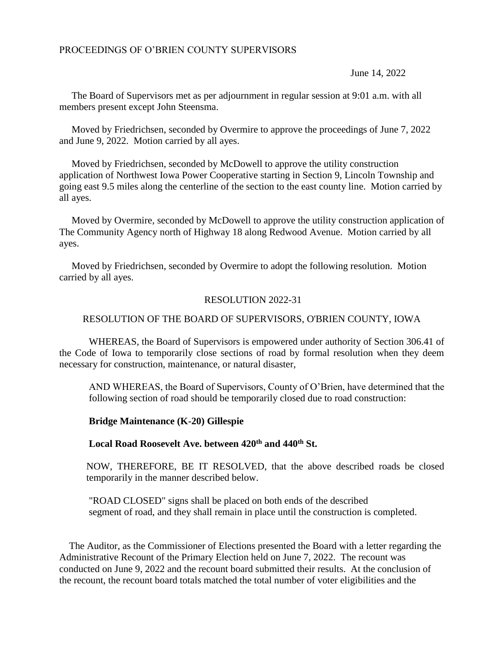June 14, 2022

 The Board of Supervisors met as per adjournment in regular session at 9:01 a.m. with all members present except John Steensma.

 Moved by Friedrichsen, seconded by Overmire to approve the proceedings of June 7, 2022 and June 9, 2022. Motion carried by all ayes.

 Moved by Friedrichsen, seconded by McDowell to approve the utility construction application of Northwest Iowa Power Cooperative starting in Section 9, Lincoln Township and going east 9.5 miles along the centerline of the section to the east county line. Motion carried by all ayes.

 Moved by Overmire, seconded by McDowell to approve the utility construction application of The Community Agency north of Highway 18 along Redwood Avenue. Motion carried by all ayes.

 Moved by Friedrichsen, seconded by Overmire to adopt the following resolution. Motion carried by all ayes.

## RESOLUTION 2022-31

## RESOLUTION OF THE BOARD OF SUPERVISORS, O'BRIEN COUNTY, IOWA

WHEREAS, the Board of Supervisors is empowered under authority of Section 306.41 of the Code of Iowa to temporarily close sections of road by formal resolution when they deem necessary for construction, maintenance, or natural disaster,

AND WHEREAS, the Board of Supervisors, County of O'Brien, have determined that the following section of road should be temporarily closed due to road construction:

## **Bridge Maintenance (K-20) Gillespie**

## **Local Road Roosevelt Ave. between 420th and 440th St.**

NOW, THEREFORE, BE IT RESOLVED, that the above described roads be closed temporarily in the manner described below.

"ROAD CLOSED" signs shall be placed on both ends of the described segment of road, and they shall remain in place until the construction is completed.

 The Auditor, as the Commissioner of Elections presented the Board with a letter regarding the Administrative Recount of the Primary Election held on June 7, 2022. The recount was conducted on June 9, 2022 and the recount board submitted their results. At the conclusion of the recount, the recount board totals matched the total number of voter eligibilities and the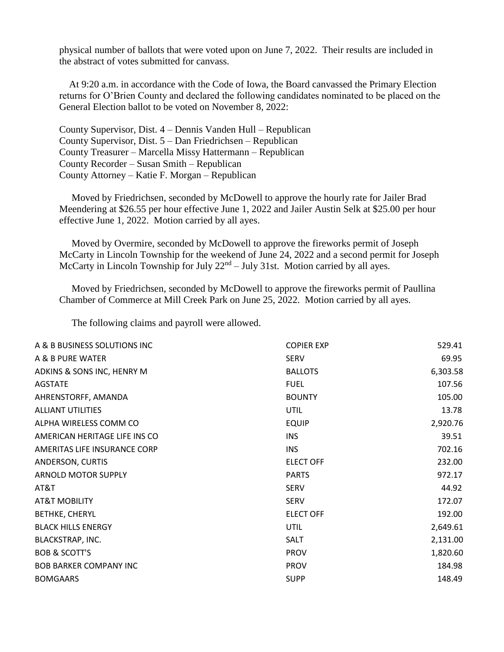physical number of ballots that were voted upon on June 7, 2022. Their results are included in the abstract of votes submitted for canvass.

 At 9:20 a.m. in accordance with the Code of Iowa, the Board canvassed the Primary Election returns for O'Brien County and declared the following candidates nominated to be placed on the General Election ballot to be voted on November 8, 2022:

County Supervisor, Dist. 4 – Dennis Vanden Hull – Republican County Supervisor, Dist. 5 – Dan Friedrichsen – Republican County Treasurer – Marcella Missy Hattermann – Republican County Recorder – Susan Smith – Republican County Attorney – Katie F. Morgan – Republican

 Moved by Friedrichsen, seconded by McDowell to approve the hourly rate for Jailer Brad Meendering at \$26.55 per hour effective June 1, 2022 and Jailer Austin Selk at \$25.00 per hour effective June 1, 2022. Motion carried by all ayes.

 Moved by Overmire, seconded by McDowell to approve the fireworks permit of Joseph McCarty in Lincoln Township for the weekend of June 24, 2022 and a second permit for Joseph McCarty in Lincoln Township for July  $22<sup>nd</sup> - July 31st$ . Motion carried by all ayes.

 Moved by Friedrichsen, seconded by McDowell to approve the fireworks permit of Paullina Chamber of Commerce at Mill Creek Park on June 25, 2022. Motion carried by all ayes.

The following claims and payroll were allowed.

| A & B BUSINESS SOLUTIONS INC  | <b>COPIER EXP</b> | 529.41   |
|-------------------------------|-------------------|----------|
| A & B PURE WATER              | <b>SERV</b>       | 69.95    |
| ADKINS & SONS INC, HENRY M    | <b>BALLOTS</b>    | 6,303.58 |
| <b>AGSTATE</b>                | <b>FUEL</b>       | 107.56   |
| AHRENSTORFF, AMANDA           | <b>BOUNTY</b>     | 105.00   |
| <b>ALLIANT UTILITIES</b>      | <b>UTIL</b>       | 13.78    |
| ALPHA WIRELESS COMM CO        | <b>EQUIP</b>      | 2,920.76 |
| AMERICAN HERITAGE LIFE INS CO | <b>INS</b>        | 39.51    |
| AMERITAS LIFE INSURANCE CORP  | <b>INS</b>        | 702.16   |
| ANDERSON, CURTIS              | <b>ELECT OFF</b>  | 232.00   |
| <b>ARNOLD MOTOR SUPPLY</b>    | <b>PARTS</b>      | 972.17   |
| AT&T                          | <b>SERV</b>       | 44.92    |
| <b>AT&amp;T MOBILITY</b>      | <b>SERV</b>       | 172.07   |
| <b>BETHKE, CHERYL</b>         | <b>ELECT OFF</b>  | 192.00   |
| <b>BLACK HILLS ENERGY</b>     | <b>UTIL</b>       | 2,649.61 |
| BLACKSTRAP, INC.              | SALT              | 2,131.00 |
| <b>BOB &amp; SCOTT'S</b>      | <b>PROV</b>       | 1,820.60 |
| <b>BOB BARKER COMPANY INC</b> | <b>PROV</b>       | 184.98   |
| <b>BOMGAARS</b>               | <b>SUPP</b>       | 148.49   |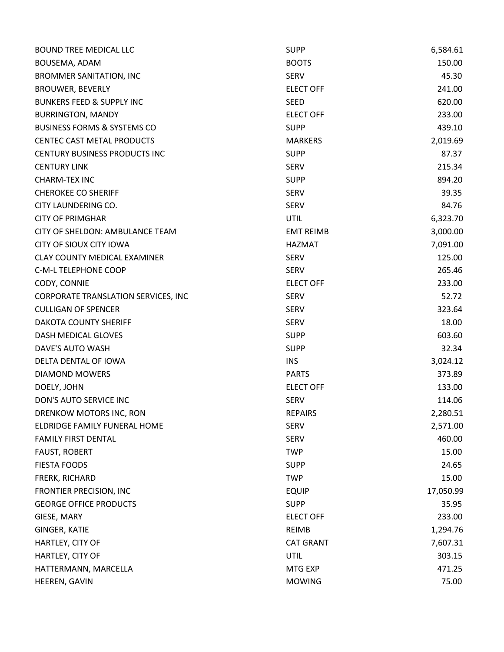| <b>BOUND TREE MEDICAL LLC</b>          | <b>SUPP</b>      | 6,584.61  |
|----------------------------------------|------------------|-----------|
| BOUSEMA, ADAM                          | <b>BOOTS</b>     | 150.00    |
| <b>BROMMER SANITATION, INC</b>         | <b>SERV</b>      | 45.30     |
| <b>BROUWER, BEVERLY</b>                | <b>ELECT OFF</b> | 241.00    |
| <b>BUNKERS FEED &amp; SUPPLY INC</b>   | <b>SEED</b>      | 620.00    |
| <b>BURRINGTON, MANDY</b>               | <b>ELECT OFF</b> | 233.00    |
| <b>BUSINESS FORMS &amp; SYSTEMS CO</b> | <b>SUPP</b>      | 439.10    |
| CENTEC CAST METAL PRODUCTS             | <b>MARKERS</b>   | 2,019.69  |
| <b>CENTURY BUSINESS PRODUCTS INC</b>   | <b>SUPP</b>      | 87.37     |
| <b>CENTURY LINK</b>                    | <b>SERV</b>      | 215.34    |
| <b>CHARM-TEX INC</b>                   | <b>SUPP</b>      | 894.20    |
| <b>CHEROKEE CO SHERIFF</b>             | <b>SERV</b>      | 39.35     |
| CITY LAUNDERING CO.                    | <b>SERV</b>      | 84.76     |
| <b>CITY OF PRIMGHAR</b>                | <b>UTIL</b>      | 6,323.70  |
| CITY OF SHELDON: AMBULANCE TEAM        | <b>EMT REIMB</b> | 3,000.00  |
| <b>CITY OF SIOUX CITY IOWA</b>         | HAZMAT           | 7,091.00  |
| <b>CLAY COUNTY MEDICAL EXAMINER</b>    | <b>SERV</b>      | 125.00    |
| C-M-L TELEPHONE COOP                   | <b>SERV</b>      | 265.46    |
| CODY, CONNIE                           | <b>ELECT OFF</b> | 233.00    |
| CORPORATE TRANSLATION SERVICES, INC    | <b>SERV</b>      | 52.72     |
| <b>CULLIGAN OF SPENCER</b>             | <b>SERV</b>      | 323.64    |
| <b>DAKOTA COUNTY SHERIFF</b>           | <b>SERV</b>      | 18.00     |
| DASH MEDICAL GLOVES                    | <b>SUPP</b>      | 603.60    |
| DAVE'S AUTO WASH                       | <b>SUPP</b>      | 32.34     |
| DELTA DENTAL OF IOWA                   | <b>INS</b>       | 3,024.12  |
| <b>DIAMOND MOWERS</b>                  | <b>PARTS</b>     | 373.89    |
| DOELY, JOHN                            | <b>ELECT OFF</b> | 133.00    |
| DON'S AUTO SERVICE INC                 | <b>SERV</b>      | 114.06    |
| DRENKOW MOTORS INC, RON                | <b>REPAIRS</b>   | 2,280.51  |
| ELDRIDGE FAMILY FUNERAL HOME           | <b>SERV</b>      | 2,571.00  |
| <b>FAMILY FIRST DENTAL</b>             | <b>SERV</b>      | 460.00    |
| <b>FAUST, ROBERT</b>                   | <b>TWP</b>       | 15.00     |
| <b>FIESTA FOODS</b>                    | <b>SUPP</b>      | 24.65     |
| FRERK, RICHARD                         | <b>TWP</b>       | 15.00     |
| <b>FRONTIER PRECISION, INC</b>         | <b>EQUIP</b>     | 17,050.99 |
| <b>GEORGE OFFICE PRODUCTS</b>          | <b>SUPP</b>      | 35.95     |
| GIESE, MARY                            | <b>ELECT OFF</b> | 233.00    |
| GINGER, KATIE                          | <b>REIMB</b>     | 1,294.76  |
| HARTLEY, CITY OF                       | <b>CAT GRANT</b> | 7,607.31  |
| HARTLEY, CITY OF                       | <b>UTIL</b>      | 303.15    |
| HATTERMANN, MARCELLA                   | MTG EXP          | 471.25    |
| HEEREN, GAVIN                          | <b>MOWING</b>    | 75.00     |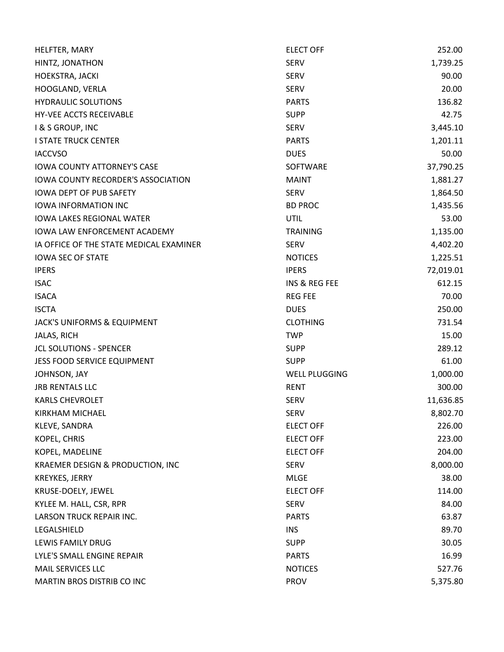| HELFTER, MARY                             | <b>ELECT OFF</b>         | 252.00    |
|-------------------------------------------|--------------------------|-----------|
| HINTZ, JONATHON                           | <b>SERV</b>              | 1,739.25  |
| HOEKSTRA, JACKI                           | <b>SERV</b>              | 90.00     |
| HOOGLAND, VERLA                           | <b>SERV</b>              | 20.00     |
| <b>HYDRAULIC SOLUTIONS</b>                | <b>PARTS</b>             | 136.82    |
| HY-VEE ACCTS RECEIVABLE                   | <b>SUPP</b>              | 42.75     |
| I & S GROUP, INC                          | <b>SERV</b>              | 3,445.10  |
| <b>I STATE TRUCK CENTER</b>               | <b>PARTS</b>             | 1,201.11  |
| <b>IACCVSO</b>                            | <b>DUES</b>              | 50.00     |
| <b>IOWA COUNTY ATTORNEY'S CASE</b>        | SOFTWARE                 | 37,790.25 |
| <b>IOWA COUNTY RECORDER'S ASSOCIATION</b> | <b>MAINT</b>             | 1,881.27  |
| <b>IOWA DEPT OF PUB SAFETY</b>            | <b>SERV</b>              | 1,864.50  |
| <b>IOWA INFORMATION INC</b>               | <b>BD PROC</b>           | 1,435.56  |
| <b>IOWA LAKES REGIONAL WATER</b>          | <b>UTIL</b>              | 53.00     |
| <b>IOWA LAW ENFORCEMENT ACADEMY</b>       | <b>TRAINING</b>          | 1,135.00  |
| IA OFFICE OF THE STATE MEDICAL EXAMINER   | <b>SERV</b>              | 4,402.20  |
| <b>IOWA SEC OF STATE</b>                  | <b>NOTICES</b>           | 1,225.51  |
| <b>IPERS</b>                              | <b>IPERS</b>             | 72,019.01 |
| <b>ISAC</b>                               | <b>INS &amp; REG FEE</b> | 612.15    |
| <b>ISACA</b>                              | <b>REG FEE</b>           | 70.00     |
| <b>ISCTA</b>                              | <b>DUES</b>              | 250.00    |
| JACK'S UNIFORMS & EQUIPMENT               | <b>CLOTHING</b>          | 731.54    |
| JALAS, RICH                               | <b>TWP</b>               | 15.00     |
| <b>JCL SOLUTIONS - SPENCER</b>            | <b>SUPP</b>              | 289.12    |
| JESS FOOD SERVICE EQUIPMENT               | <b>SUPP</b>              | 61.00     |
| JOHNSON, JAY                              | <b>WELL PLUGGING</b>     | 1,000.00  |
| <b>JRB RENTALS LLC</b>                    | <b>RENT</b>              | 300.00    |
| <b>KARLS CHEVROLET</b>                    | <b>SERV</b>              | 11,636.85 |
| <b>KIRKHAM MICHAEL</b>                    | <b>SERV</b>              | 8,802.70  |
| KLEVE, SANDRA                             | <b>ELECT OFF</b>         | 226.00    |
| KOPEL, CHRIS                              | <b>ELECT OFF</b>         | 223.00    |
| KOPEL, MADELINE                           | <b>ELECT OFF</b>         | 204.00    |
| KRAEMER DESIGN & PRODUCTION, INC          | <b>SERV</b>              | 8,000.00  |
| <b>KREYKES, JERRY</b>                     | <b>MLGE</b>              | 38.00     |
| KRUSE-DOELY, JEWEL                        | <b>ELECT OFF</b>         | 114.00    |
| KYLEE M. HALL, CSR, RPR                   | <b>SERV</b>              | 84.00     |
| <b>LARSON TRUCK REPAIR INC.</b>           | <b>PARTS</b>             | 63.87     |
| LEGALSHIELD                               | <b>INS</b>               | 89.70     |
| LEWIS FAMILY DRUG                         | <b>SUPP</b>              | 30.05     |
| LYLE'S SMALL ENGINE REPAIR                | <b>PARTS</b>             | 16.99     |
| MAIL SERVICES LLC                         | <b>NOTICES</b>           | 527.76    |
| MARTIN BROS DISTRIB CO INC                | <b>PROV</b>              | 5,375.80  |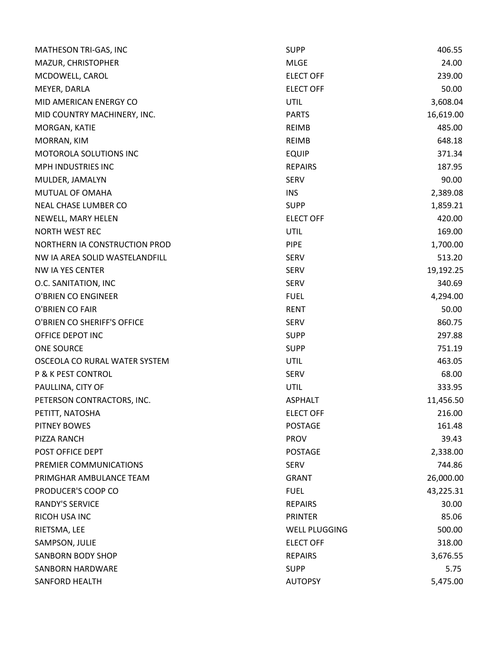| MATHESON TRI-GAS, INC          | <b>SUPP</b>          | 406.55    |
|--------------------------------|----------------------|-----------|
| MAZUR, CHRISTOPHER             | <b>MLGE</b>          | 24.00     |
| MCDOWELL, CAROL                | <b>ELECT OFF</b>     | 239.00    |
| MEYER, DARLA                   | <b>ELECT OFF</b>     | 50.00     |
| MID AMERICAN ENERGY CO         | <b>UTIL</b>          | 3,608.04  |
| MID COUNTRY MACHINERY, INC.    | <b>PARTS</b>         | 16,619.00 |
| MORGAN, KATIE                  | REIMB                | 485.00    |
| MORRAN, KIM                    | <b>REIMB</b>         | 648.18    |
| MOTOROLA SOLUTIONS INC         | <b>EQUIP</b>         | 371.34    |
| MPH INDUSTRIES INC             | <b>REPAIRS</b>       | 187.95    |
| MULDER, JAMALYN                | <b>SERV</b>          | 90.00     |
| MUTUAL OF OMAHA                | <b>INS</b>           | 2,389.08  |
| <b>NEAL CHASE LUMBER CO</b>    | <b>SUPP</b>          | 1,859.21  |
| NEWELL, MARY HELEN             | <b>ELECT OFF</b>     | 420.00    |
| <b>NORTH WEST REC</b>          | <b>UTIL</b>          | 169.00    |
| NORTHERN IA CONSTRUCTION PROD  | <b>PIPE</b>          | 1,700.00  |
| NW IA AREA SOLID WASTELANDFILL | <b>SERV</b>          | 513.20    |
| NW IA YES CENTER               | <b>SERV</b>          | 19,192.25 |
| O.C. SANITATION, INC           | <b>SERV</b>          | 340.69    |
| O'BRIEN CO ENGINEER            | <b>FUEL</b>          | 4,294.00  |
| O'BRIEN CO FAIR                | <b>RENT</b>          | 50.00     |
| O'BRIEN CO SHERIFF'S OFFICE    | <b>SERV</b>          | 860.75    |
| OFFICE DEPOT INC               | <b>SUPP</b>          | 297.88    |
| <b>ONE SOURCE</b>              | <b>SUPP</b>          | 751.19    |
| OSCEOLA CO RURAL WATER SYSTEM  | <b>UTIL</b>          | 463.05    |
| <b>P &amp; K PEST CONTROL</b>  | <b>SERV</b>          | 68.00     |
| PAULLINA, CITY OF              | <b>UTIL</b>          | 333.95    |
| PETERSON CONTRACTORS, INC.     | <b>ASPHALT</b>       | 11,456.50 |
| PETITT, NATOSHA                | <b>ELECT OFF</b>     | 216.00    |
| <b>PITNEY BOWES</b>            | <b>POSTAGE</b>       | 161.48    |
| PIZZA RANCH                    | <b>PROV</b>          | 39.43     |
| POST OFFICE DEPT               | <b>POSTAGE</b>       | 2,338.00  |
| PREMIER COMMUNICATIONS         | <b>SERV</b>          | 744.86    |
| PRIMGHAR AMBULANCE TEAM        | <b>GRANT</b>         | 26,000.00 |
| PRODUCER'S COOP CO             | <b>FUEL</b>          | 43,225.31 |
| <b>RANDY'S SERVICE</b>         | <b>REPAIRS</b>       | 30.00     |
| RICOH USA INC                  | <b>PRINTER</b>       | 85.06     |
| RIETSMA, LEE                   | <b>WELL PLUGGING</b> | 500.00    |
| SAMPSON, JULIE                 | <b>ELECT OFF</b>     | 318.00    |
| <b>SANBORN BODY SHOP</b>       | <b>REPAIRS</b>       | 3,676.55  |
| <b>SANBORN HARDWARE</b>        | <b>SUPP</b>          | 5.75      |
| SANFORD HEALTH                 | <b>AUTOPSY</b>       | 5,475.00  |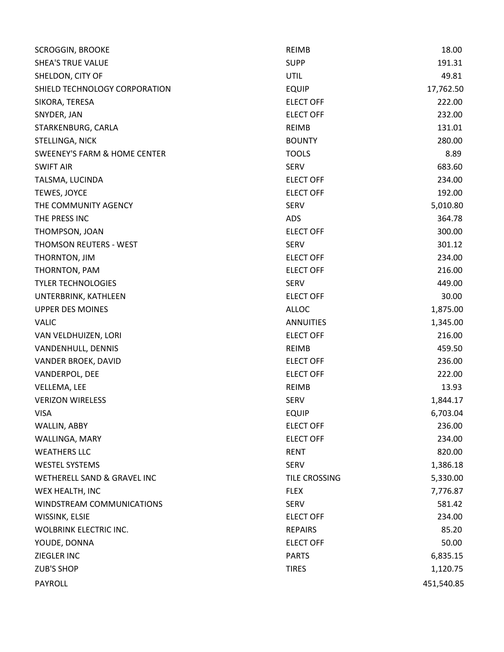| <b>SCROGGIN, BROOKE</b>                 | <b>REIMB</b>     | 18.00      |
|-----------------------------------------|------------------|------------|
| <b>SHEA'S TRUE VALUE</b>                | <b>SUPP</b>      | 191.31     |
| SHELDON, CITY OF                        | <b>UTIL</b>      | 49.81      |
| SHIELD TECHNOLOGY CORPORATION           | <b>EQUIP</b>     | 17,762.50  |
| SIKORA, TERESA                          | <b>ELECT OFF</b> | 222.00     |
| SNYDER, JAN                             | <b>ELECT OFF</b> | 232.00     |
| STARKENBURG, CARLA                      | <b>REIMB</b>     | 131.01     |
| STELLINGA, NICK                         | <b>BOUNTY</b>    | 280.00     |
| <b>SWEENEY'S FARM &amp; HOME CENTER</b> | <b>TOOLS</b>     | 8.89       |
| <b>SWIFT AIR</b>                        | <b>SERV</b>      | 683.60     |
| TALSMA, LUCINDA                         | <b>ELECT OFF</b> | 234.00     |
| TEWES, JOYCE                            | <b>ELECT OFF</b> | 192.00     |
| THE COMMUNITY AGENCY                    | <b>SERV</b>      | 5,010.80   |
| THE PRESS INC                           | <b>ADS</b>       | 364.78     |
| THOMPSON, JOAN                          | <b>ELECT OFF</b> | 300.00     |
| <b>THOMSON REUTERS - WEST</b>           | <b>SERV</b>      | 301.12     |
| THORNTON, JIM                           | <b>ELECT OFF</b> | 234.00     |
| THORNTON, PAM                           | <b>ELECT OFF</b> | 216.00     |
| <b>TYLER TECHNOLOGIES</b>               | <b>SERV</b>      | 449.00     |
| UNTERBRINK, KATHLEEN                    | <b>ELECT OFF</b> | 30.00      |
| <b>UPPER DES MOINES</b>                 | <b>ALLOC</b>     | 1,875.00   |
| <b>VALIC</b>                            | <b>ANNUITIES</b> | 1,345.00   |
| VAN VELDHUIZEN, LORI                    | <b>ELECT OFF</b> | 216.00     |
| VANDENHULL, DENNIS                      | <b>REIMB</b>     | 459.50     |
| VANDER BROEK, DAVID                     | <b>ELECT OFF</b> | 236.00     |
| VANDERPOL, DEE                          | <b>ELECT OFF</b> | 222.00     |
| VELLEMA, LEE                            | <b>REIMB</b>     | 13.93      |
| <b>VERIZON WIRELESS</b>                 | <b>SERV</b>      | 1,844.17   |
| <b>VISA</b>                             | <b>EQUIP</b>     | 6,703.04   |
| WALLIN, ABBY                            | <b>ELECT OFF</b> | 236.00     |
| WALLINGA, MARY                          | <b>ELECT OFF</b> | 234.00     |
| <b>WEATHERS LLC</b>                     | <b>RENT</b>      | 820.00     |
| <b>WESTEL SYSTEMS</b>                   | <b>SERV</b>      | 1,386.18   |
| WETHERELL SAND & GRAVEL INC             | TILE CROSSING    | 5,330.00   |
| WEX HEALTH, INC                         | <b>FLEX</b>      | 7,776.87   |
| WINDSTREAM COMMUNICATIONS               | <b>SERV</b>      | 581.42     |
| WISSINK, ELSIE                          | <b>ELECT OFF</b> | 234.00     |
| <b>WOLBRINK ELECTRIC INC.</b>           | <b>REPAIRS</b>   | 85.20      |
| YOUDE, DONNA                            | <b>ELECT OFF</b> | 50.00      |
| ZIEGLER INC                             | <b>PARTS</b>     | 6,835.15   |
| <b>ZUB'S SHOP</b>                       | <b>TIRES</b>     | 1,120.75   |
| <b>PAYROLL</b>                          |                  | 451,540.85 |